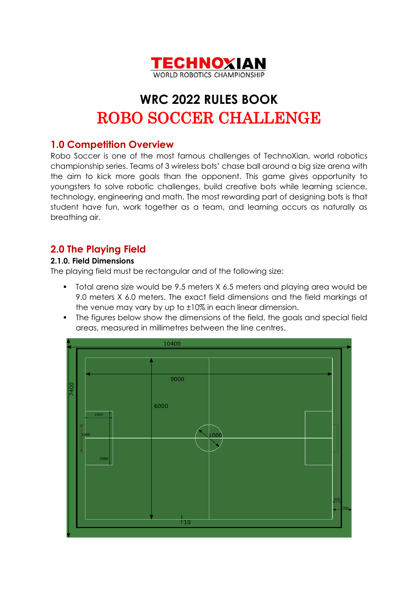

# **WRC 2022 RULES BOOK** ROBO SOCCER CHALLENGE

## **1.0 Competition Overview**

Robo Soccer is one of the most famous challenges of TechnoXian, world robotics championship series. Teams of 3 wireless bots' chase ball around a big size arena with the aim to kick more goals than the opponent. This game gives opportunity to youngsters to solve robotic challenges, build creative bots while learning science, technology, engineering and math. The most rewarding part of designing bots is that student have fun, work together as a team, and learning occurs as naturally as breathing air.

# **2.0 The Playing Field**

#### **2.1.0. Field Dimensions**

The playing field must be rectangular and of the following size:

- Total arena size would be 9.5 meters X 6.5 meters and playing area would be 9.0 meters X 6.0 meters. The exact field dimensions and the field markings at the venue may vary by up to ±10% in each linear dimension.
- The figures below show the dimensions of the field, the goals and special field areas, measured in millimetres between the line centres.

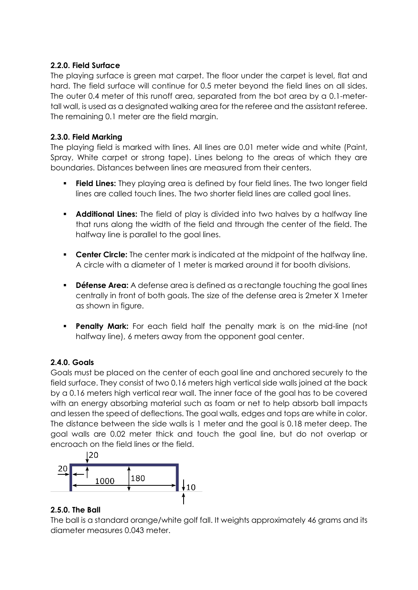#### **2.2.0. Field Surface**

The playing surface is green mat carpet. The floor under the carpet is level, flat and hard. The field surface will continue for 0.5 meter beyond the field lines on all sides. The outer 0.4 meter of this runoff area, separated from the bot area by a 0.1-metertall wall, is used as a designated walking area for the referee and the assistant referee. The remaining 0.1 meter are the field margin.

#### **2.3.0. Field Marking**

The playing field is marked with lines. All lines are 0.01 meter wide and white (Paint, Spray, White carpet or strong tape). Lines belong to the areas of which they are boundaries. Distances between lines are measured from their centers.

- **Field Lines:** They playing area is defined by four field lines. The two longer field lines are called touch lines. The two shorter field lines are called goal lines.
- **Additional Lines:** The field of play is divided into two halves by a halfway line that runs along the width of the field and through the center of the field. The halfway line is parallel to the goal lines.
- **Center Circle:** The center mark is indicated at the midpoint of the halfway line. A circle with a diameter of 1 meter is marked around it for booth divisions.
- **Défense Area:** A defense area is defined as a rectangle touching the goal lines centrally in front of both goals. The size of the defense area is 2meter X 1meter as shown in figure.
- **Penalty Mark:** For each field half the penalty mark is on the mid-line (not halfway line), 6 meters away from the opponent goal center.

#### **2.4.0. Goals**

Goals must be placed on the center of each goal line and anchored securely to the field surface. They consist of two 0.16 meters high vertical side walls joined at the back by a 0.16 meters high vertical rear wall. The inner face of the goal has to be covered with an energy absorbing material such as foam or net to help absorb ball impacts and lessen the speed of deflections. The goal walls, edges and tops are white in color. The distance between the side walls is 1 meter and the goal is 0.18 meter deep. The goal walls are 0.02 meter thick and touch the goal line, but do not overlap or encroach on the field lines or the field.



#### **2.5.0. The Ball**

The ball is a standard orange/white golf fall. It weights approximately 46 grams and its diameter measures 0.043 meter.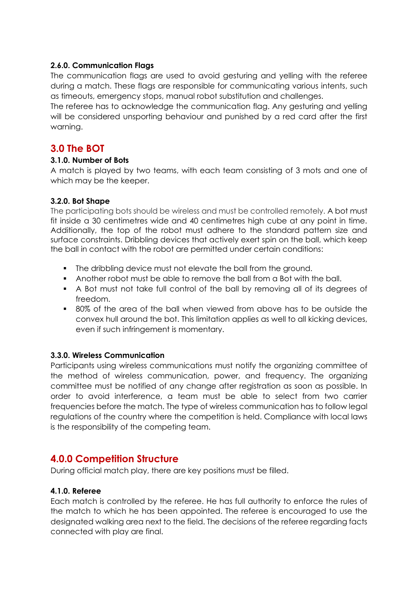#### **2.6.0. Communication Flags**

The communication flags are used to avoid gesturing and yelling with the referee during a match. These flags are responsible for communicating various intents, such as timeouts, emergency stops, manual robot substitution and challenges.

The referee has to acknowledge the communication flag. Any gesturing and yelling will be considered unsporting behaviour and punished by a red card after the first warning.

### **3.0 The BOT**

#### **3.1.0. Number of Bots**

A match is played by two teams, with each team consisting of 3 mots and one of which may be the keeper.

#### **3.2.0. Bot Shape**

The participating bots should be wireless and must be controlled remotely. A bot must fit inside a 30 centimetres wide and 40 centimetres high cube at any point in time. Additionally, the top of the robot must adhere to the standard pattern size and surface constraints. Dribbling devices that actively exert spin on the ball, which keep the ball in contact with the robot are permitted under certain conditions:

- The dribbling device must not elevate the ball from the ground.
- Another robot must be able to remove the ball from a Bot with the ball.
- A Bot must not take full control of the ball by removing all of its degrees of freedom.
- 80% of the area of the ball when viewed from above has to be outside the convex hull around the bot. This limitation applies as well to all kicking devices, even if such infringement is momentary.

#### **3.3.0. Wireless Communication**

Participants using wireless communications must notify the organizing committee of the method of wireless communication, power, and frequency. The organizing committee must be notified of any change after registration as soon as possible. In order to avoid interference, a team must be able to select from two carrier frequencies before the match. The type of wireless communication has to follow legal regulations of the country where the competition is held. Compliance with local laws is the responsibility of the competing team.

## **4.0.0 Competition Structure**

During official match play, there are key positions must be filled.

#### **4.1.0. Referee**

Each match is controlled by the referee. He has full authority to enforce the rules of the match to which he has been appointed. The referee is encouraged to use the designated walking area next to the field. The decisions of the referee regarding facts connected with play are final.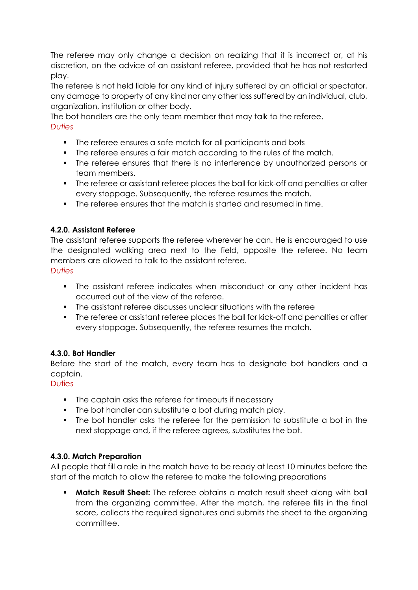The referee may only change a decision on realizing that it is incorrect or, at his discretion, on the advice of an assistant referee, provided that he has not restarted play.

The referee is not held liable for any kind of injury suffered by an official or spectator, any damage to property of any kind nor any other loss suffered by an individual, club, organization, institution or other body.

The bot handlers are the only team member that may talk to the referee.

#### *Duties*

- The referee ensures a safe match for all participants and bots
- The referee ensures a fair match according to the rules of the match.
- The referee ensures that there is no interference by unauthorized persons or team members.
- The referee or assistant referee places the ball for kick-off and penalties or after every stoppage. Subsequently, the referee resumes the match.
- The referee ensures that the match is started and resumed in time.

#### **4.2.0. Assistant Referee**

The assistant referee supports the referee wherever he can. He is encouraged to use the designated walking area next to the field, opposite the referee. No team members are allowed to talk to the assistant referee. *Duties*

- The assistant referee indicates when misconduct or any other incident has occurred out of the view of the referee.
- The assistant referee discusses unclear situations with the referee
- The referee or assistant referee places the ball for kick-off and penalties or after every stoppage. Subsequently, the referee resumes the match.

#### **4.3.0. Bot Handler**

Before the start of the match, every team has to designate bot handlers and a captain.

#### **Duties**

- **•** The captain asks the referee for timeouts if necessary
- The bot handler can substitute a bot during match play.
- The bot handler asks the referee for the permission to substitute a bot in the next stoppage and, if the referee agrees, substitutes the bot.

#### **4.3.0. Match Preparation**

All people that fill a role in the match have to be ready at least 10 minutes before the start of the match to allow the referee to make the following preparations

▪ **Match Result Sheet:** The referee obtains a match result sheet along with ball from the organizing committee. After the match, the referee fills in the final score, collects the required signatures and submits the sheet to the organizing committee.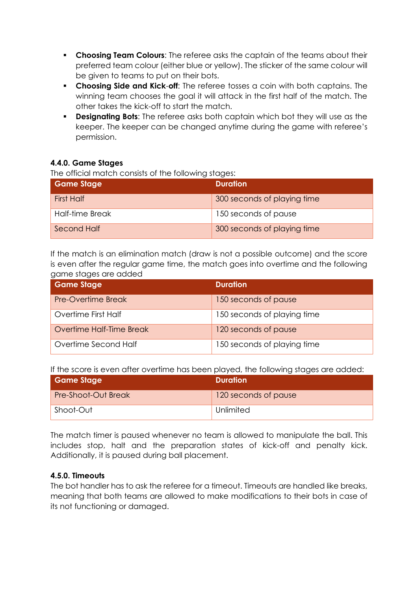- **Choosing Team Colours**: The referee asks the captain of the teams about their preferred team colour (either blue or yellow). The sticker of the same colour will be given to teams to put on their bots.
- **Choosing Side and Kick**-**off**: The referee tosses a coin with both captains. The winning team chooses the goal it will attack in the first half of the match. The other takes the kick-off to start the match.
- **Designating Bots:** The referee asks both captain which bot they will use as the keeper. The keeper can be changed anytime during the game with referee's permission.

#### **4.4.0. Game Stages**

The official match consists of the following stages:

| <b>Game Stage</b>  | <b>Duration</b>             |
|--------------------|-----------------------------|
| <b>First Half</b>  | 300 seconds of playing time |
| Half-time Break    | 150 seconds of pause        |
| <b>Second Half</b> | 300 seconds of playing time |

If the match is an elimination match (draw is not a possible outcome) and the score is even after the regular game time, the match goes into overtime and the following game stages are added

| <b>Game Stage</b>        | <b>Duration</b>             |
|--------------------------|-----------------------------|
| Pre-Overtime Break       | 150 seconds of pause        |
| Overtime First Half      | 150 seconds of playing time |
| Overtime Half-Time Break | 120 seconds of pause        |
| Overtime Second Half     | 150 seconds of playing time |

If the score is even after overtime has been played, the following stages are added:

| Game Stage                 | <b>Duration</b>      |
|----------------------------|----------------------|
| <b>Pre-Shoot-Out Break</b> | 120 seconds of pause |
| Shoot-Out                  | Unlimited            |

The match timer is paused whenever no team is allowed to manipulate the ball. This includes stop, halt and the preparation states of kick-off and penalty kick. Additionally, it is paused during ball placement.

#### **4.5.0. Timeouts**

The bot handler has to ask the referee for a timeout. Timeouts are handled like breaks, meaning that both teams are allowed to make modifications to their bots in case of its not functioning or damaged.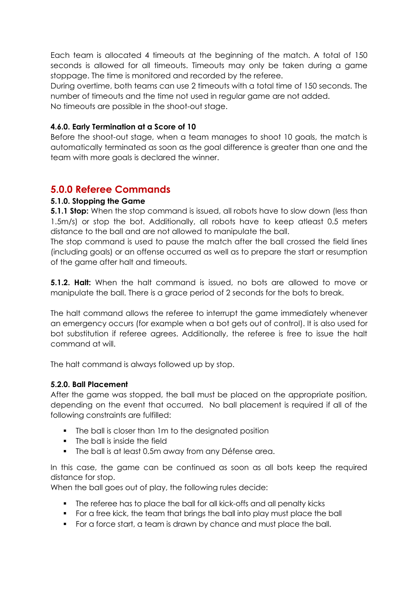Each team is allocated 4 timeouts at the beginning of the match. A total of 150 seconds is allowed for all timeouts. Timeouts may only be taken during a game stoppage. The time is monitored and recorded by the referee.

During overtime, both teams can use 2 timeouts with a total time of 150 seconds. The number of timeouts and the time not used in regular game are not added.

No timeouts are possible in the shoot-out stage.

#### **4.6.0. Early Termination at a Score of 10**

Before the shoot-out stage, when a team manages to shoot 10 goals, the match is automatically terminated as soon as the goal difference is greater than one and the team with more goals is declared the winner.

## **5.0.0 Referee Commands**

#### **5.1.0. Stopping the Game**

**5.1.1 Stop:** When the stop command is issued, all robots have to slow down (less than 1.5m/s) or stop the bot. Additionally, all robots have to keep atleast 0.5 meters distance to the ball and are not allowed to manipulate the ball.

The stop command is used to pause the match after the ball crossed the field lines (including goals) or an offense occurred as well as to prepare the start or resumption of the game after halt and timeouts.

**5.1.2. Halt:** When the halt command is issued, no bots are allowed to move or manipulate the ball. There is a grace period of 2 seconds for the bots to break.

The halt command allows the referee to interrupt the game immediately whenever an emergency occurs (for example when a bot gets out of control). It is also used for bot substitution if referee agrees. Additionally, the referee is free to issue the halt command at will.

The halt command is always followed up by stop.

#### **5.2.0. Ball Placement**

After the game was stopped, the ball must be placed on the appropriate position, depending on the event that occurred. No ball placement is required if all of the following constraints are fulfilled:

- **•** The ball is closer than 1m to the designated position
- The ball is inside the field
- The ball is at least 0.5m away from any Défense area.

In this case, the game can be continued as soon as all bots keep the required distance for stop.

When the ball goes out of play, the following rules decide:

- The referee has to place the ball for all kick-offs and all penalty kicks
- For a free kick, the team that brings the ball into play must place the ball
- For a force start, a team is drawn by chance and must place the ball.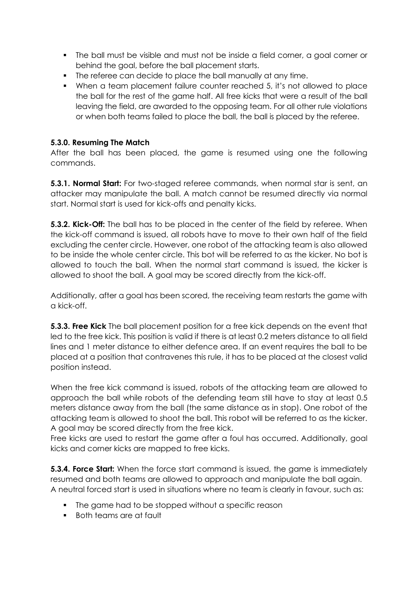- The ball must be visible and must not be inside a field corner, a goal corner or behind the goal, before the ball placement starts.
- The referee can decide to place the ball manually at any time.
- When a team placement failure counter reached 5, it's not allowed to place the ball for the rest of the game half. All free kicks that were a result of the ball leaving the field, are awarded to the opposing team. For all other rule violations or when both teams failed to place the ball, the ball is placed by the referee.

#### **5.3.0. Resuming The Match**

After the ball has been placed, the game is resumed using one the following commands.

**5.3.1. Normal Start:** For two-staged referee commands, when normal star is sent, an attacker may manipulate the ball. A match cannot be resumed directly via normal start. Normal start is used for kick-offs and penalty kicks.

**5.3.2. Kick-Off:** The ball has to be placed in the center of the field by referee. When the kick-off command is issued, all robots have to move to their own half of the field excluding the center circle. However, one robot of the attacking team is also allowed to be inside the whole center circle. This bot will be referred to as the kicker. No bot is allowed to touch the ball. When the normal start command is issued, the kicker is allowed to shoot the ball. A goal may be scored directly from the kick-off.

Additionally, after a goal has been scored, the receiving team restarts the game with a kick-off.

**5.3.3. Free Kick** The ball placement position for a free kick depends on the event that led to the free kick. This position is valid if there is at least 0.2 meters distance to all field lines and 1 meter distance to either defence area. If an event requires the ball to be placed at a position that contravenes this rule, it has to be placed at the closest valid position instead.

When the free kick command is issued, robots of the attacking team are allowed to approach the ball while robots of the defending team still have to stay at least 0.5 meters distance away from the ball (the same distance as in stop). One robot of the attacking team is allowed to shoot the ball. This robot will be referred to as the kicker. A goal may be scored directly from the free kick.

Free kicks are used to restart the game after a foul has occurred. Additionally, goal kicks and corner kicks are mapped to free kicks.

**5.3.4. Force Start:** When the force start command is issued, the game is immediately resumed and both teams are allowed to approach and manipulate the ball again. A neutral forced start is used in situations where no team is clearly in favour, such as:

- The game had to be stopped without a specific reason
- Both teams are at fault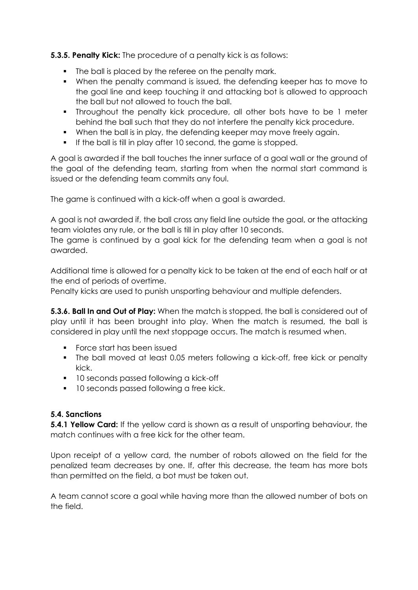**5.3.5. Penalty Kick:** The procedure of a penalty kick is as follows:

- **•** The ball is placed by the referee on the penalty mark.
- When the penalty command is issued, the defending keeper has to move to the goal line and keep touching it and attacking bot is allowed to approach the ball but not allowed to touch the ball.
- Throughout the penalty kick procedure, all other bots have to be 1 meter behind the ball such that they do not interfere the penalty kick procedure.
- When the ball is in play, the defending keeper may move freely again.
- If the ball is till in play after 10 second, the game is stopped.

A goal is awarded if the ball touches the inner surface of a goal wall or the ground of the goal of the defending team, starting from when the normal start command is issued or the defending team commits any foul.

The game is continued with a kick-off when a goal is awarded.

A goal is not awarded if, the ball cross any field line outside the goal, or the attacking team violates any rule, or the ball is till in play after 10 seconds.

The game is continued by a goal kick for the defending team when a goal is not awarded.

Additional time is allowed for a penalty kick to be taken at the end of each half or at the end of periods of overtime.

Penalty kicks are used to punish unsporting behaviour and multiple defenders.

**5.3.6. Ball In and Out of Play:** When the match is stopped, the ball is considered out of play until it has been brought into play. When the match is resumed, the ball is considered in play until the next stoppage occurs. The match is resumed when.

- Force start has been issued
- The ball moved at least 0.05 meters following a kick-off, free kick or penalty kick.
- 10 seconds passed following a kick-off
- 10 seconds passed following a free kick.

#### **5.4. Sanctions**

**5.4.1 Yellow Card:** If the yellow card is shown as a result of unsporting behaviour, the match continues with a free kick for the other team.

Upon receipt of a yellow card, the number of robots allowed on the field for the penalized team decreases by one. If, after this decrease, the team has more bots than permitted on the field, a bot must be taken out.

A team cannot score a goal while having more than the allowed number of bots on the field.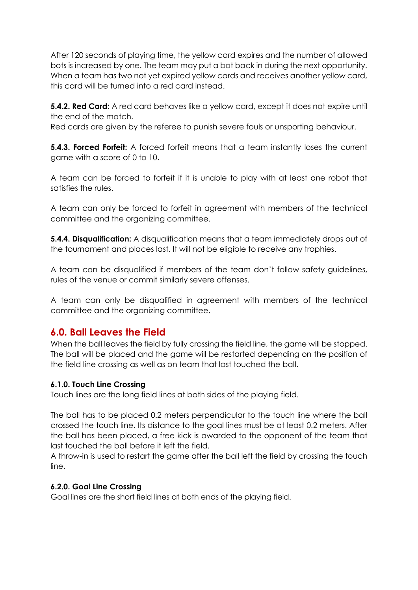After 120 seconds of playing time, the yellow card expires and the number of allowed bots is increased by one. The team may put a bot back in during the next opportunity. When a team has two not yet expired yellow cards and receives another yellow card, this card will be turned into a red card instead.

**5.4.2. Red Card:** A red card behaves like a yellow card, except it does not expire until the end of the match.

Red cards are given by the referee to punish severe fouls or unsporting behaviour.

**5.4.3. Forced Forfeit:** A forced forfeit means that a team instantly loses the current game with a score of 0 to 10.

A team can be forced to forfeit if it is unable to play with at least one robot that satisfies the rules.

A team can only be forced to forfeit in agreement with members of the technical committee and the organizing committee.

**5.4.4. Disqualification:** A disqualification means that a team immediately drops out of the tournament and places last. It will not be eligible to receive any trophies.

A team can be disqualified if members of the team don't follow safety guidelines, rules of the venue or commit similarly severe offenses.

A team can only be disqualified in agreement with members of the technical committee and the organizing committee.

## **6.0. Ball Leaves the Field**

When the ball leaves the field by fully crossing the field line, the game will be stopped. The ball will be placed and the game will be restarted depending on the position of the field line crossing as well as on team that last touched the ball.

#### **6.1.0. Touch Line Crossing**

Touch lines are the long field lines at both sides of the playing field.

The ball has to be placed 0.2 meters perpendicular to the touch line where the ball crossed the touch line. Its distance to the goal lines must be at least 0.2 meters. After the ball has been placed, a free kick is awarded to the opponent of the team that last touched the ball before it left the field.

A throw-in is used to restart the game after the ball left the field by crossing the touch line.

#### **6.2.0. Goal Line Crossing**

Goal lines are the short field lines at both ends of the playing field.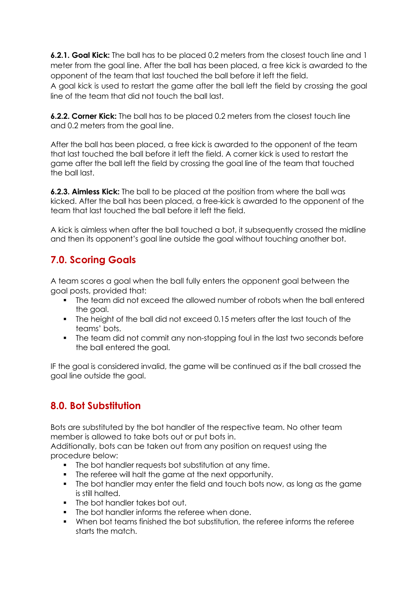**6.2.1. Goal Kick:** The ball has to be placed 0.2 meters from the closest touch line and 1 meter from the goal line. After the ball has been placed, a free kick is awarded to the opponent of the team that last touched the ball before it left the field.

A goal kick is used to restart the game after the ball left the field by crossing the goal line of the team that did not touch the ball last.

**6.2.2. Corner Kick:** The ball has to be placed 0.2 meters from the closest touch line and 0.2 meters from the goal line.

After the ball has been placed, a free kick is awarded to the opponent of the team that last touched the ball before it left the field. A corner kick is used to restart the game after the ball left the field by crossing the goal line of the team that touched the ball last.

**6.2.3. Aimless Kick:** The ball to be placed at the position from where the ball was kicked. After the ball has been placed, a free-kick is awarded to the opponent of the team that last touched the ball before it left the field.

A kick is aimless when after the ball touched a bot, it subsequently crossed the midline and then its opponent's goal line outside the goal without touching another bot.

# **7.0. Scoring Goals**

A team scores a goal when the ball fully enters the opponent goal between the goal posts, provided that:

- The team did not exceed the allowed number of robots when the ball entered the goal.
- The height of the ball did not exceed 0.15 meters after the last touch of the teams' bots.
- The team did not commit any non-stopping foul in the last two seconds before the ball entered the goal.

IF the goal is considered invalid, the game will be continued as if the ball crossed the goal line outside the goal.

# **8.0. Bot Substitution**

Bots are substituted by the bot handler of the respective team. No other team member is allowed to take bots out or put bots in.

Additionally, bots can be taken out from any position on request using the procedure below:

- The bot handler requests bot substitution at any time.
- The referee will halt the game at the next opportunity.
- The bot handler may enter the field and touch bots now, as long as the game is still halted.
- The bot handler takes bot out.
- The bot handler informs the referee when done.
- When bot teams finished the bot substitution, the referee informs the referee starts the match.